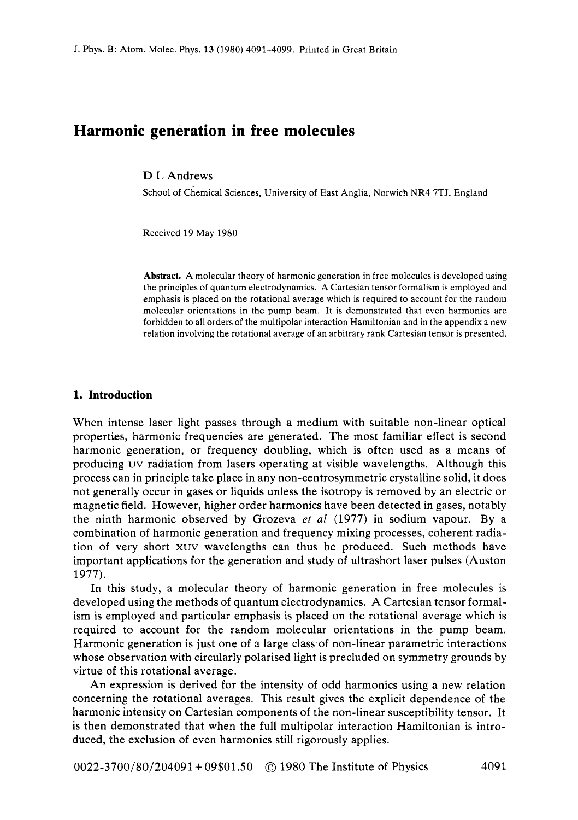# **Harmonic generation in free molecules**

### D L Andrews

School of Chemical Sciences, University of East Anglia, Norwich NR4 **7TJ,** England

Received 19 May 1980

**Abstract.** A molecular theory of harmonic generation in free molecules is developed using the principles of quantum electrodynamics. A Cartesian tensor formalism is employed and emphasis is placed on the rotational average which is required to account for the random molecular orientations in the pump beam. It is demonstrated that even harmonics are forbidden to all orders of the multipolar interaction Hamiltonian and in the appendix a new relation involving the rotational average of an arbitrary rank Cartesian tensor is presented.

### **1. Introduction**

When intense laser light passes through a medium with suitable non-linear optical properties, harmonic frequencies are generated. The most familiar effect is second harmonic generation, or frequency doubling, which is often used as a means of producing uv radiation from lasers operating at visible wavelengths. Although this process can in principle take place in any non-centrosymmetric crystalline solid, it does not generally occur in gases or liquids unless the isotropy is removed by an electric or magnetic field. However, higher order harmonics have been detected in gases, notably the ninth harmonic observed by Grozeva *et a1* (1977) in sodium vapour. By a combination of harmonic generation and frequency mixing processes, coherent radiation of very short xuv wavelengths can thus be produced. Such methods have important applications for the generation and study of ultrashort laser pulses (Auston 1977).

In this study, a molecular theory of harmonic generation in free molecules is developed using the methods of quantum electrodynamics. A Cartesian tensor formalism is employed and particular emphasis is placed on the rotational average which is required to account for the random molecular orientations in the pump beam. Harmonic generation is just one of a large class of non-linear parametric interactions whose observation with circularly polarised light is precluded on symmetry grounds by virtue of this rotational average.

An expression is derived for the intensity of odd harmonics using a new relation concerning the rotational averages. This result gives the explicit dependence of the harmonic intensity on Cartesian components of the non-linear susceptibility tensor. It is then demonstrated that when the full multipolar interaction Hamiltonian is introduced, the exclusion of even harmonics still rigorously applies.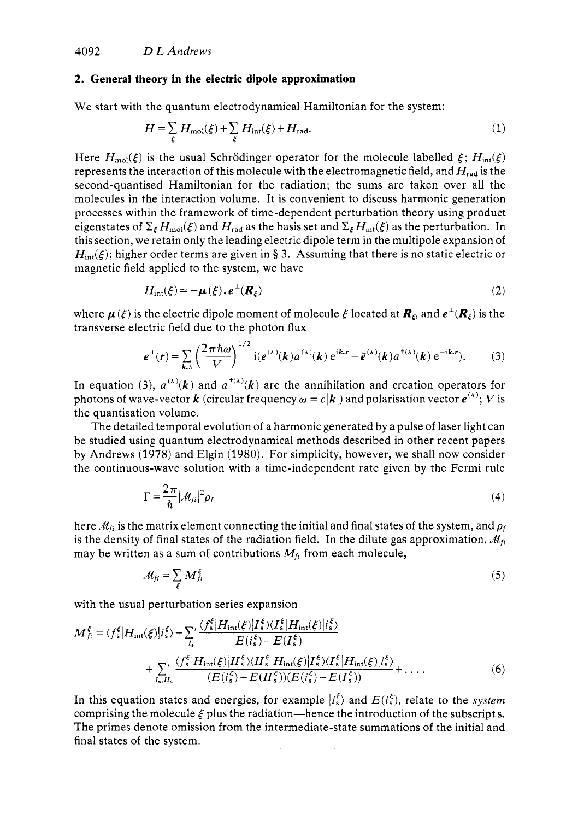### **2. General theory in the electric dipole approximation**

We start with the quantum electrodynamical Hamiltonian for the system:

$$
H = \sum_{\xi} H_{\text{mol}}(\xi) + \sum_{\xi} H_{\text{int}}(\xi) + H_{\text{rad}}.\tag{1}
$$

Here  $H_{mol}(\xi)$  is the usual Schrödinger operator for the molecule labelled  $\xi$ ;  $H_{int}(\xi)$ represents the interaction of this molecule with the electromagnetic field, and  $H_{rad}$  is the second-quantised Hamiltonian for the radiation; the sums are taken over all the molecules in the interaction volume. It is convenient to discuss harmonic generation processes within the framework of time-dependent perturbation theory using product eigenstates of  $\Sigma_{\epsilon} H_{\text{mol}}(\xi)$  and  $H_{\text{rad}}$  as the basis set and  $\Sigma_{\epsilon} H_{\text{int}}(\xi)$  as the perturbation. In this section, we retain only the leading electric dipole term in the multipole expansion of  $H_{int}(\xi)$ ; higher order terms are given in § 3. Assuming that there is no static electric or magnetic field applied to the system, we have

$$
H_{\rm int}(\xi) \simeq -\mu(\xi) \cdot e^{\perp}(\boldsymbol{R}_{\xi})
$$
 (2)

where  $\mu(\xi)$  is the electric dipole moment of molecule  $\xi$  located at  $\mathbf{R}_{\xi}$ , and  $e^{\perp}(\mathbf{R}_{\xi})$  is the transverse electric field due to the photon flux

$$
e^{\perp}(r) = \sum_{k,\lambda} \left(\frac{2\pi\hbar\omega}{V}\right)^{1/2} \mathrm{i}(e^{(\lambda)}(k)a^{(\lambda)}(k)e^{ik\cdot r} - \bar{e}^{(\lambda)}(k)a^{(\lambda)}(k)e^{-ik\cdot r}).\tag{3}
$$

In equation (3),  $a^{(\lambda)}(k)$  and  $a^{(\lambda)}(k)$  are the annihilation and creation operators for photons of wave-vector *k* (circular frequency  $\omega = c |k|$ ) and polarisation vector  $e^{(\lambda)}$ ; *V* is the quantisation volume.

The detailed temporal evolution of a harmonic generated by a pulse of laser light can be studied using quantum electrodynamical methods described in other recent papers by Andrews (1978) and Elgin (1980). For simplicity, however, we shall now consider the continuous-wave solution with a time-independent rate given by the Fermi rule

$$
\Gamma = \frac{2\pi}{\hbar} |\mathcal{M}_{fi}|^2 \rho_f \tag{4}
$$

here  $M_{fi}$  is the matrix element connecting the initial and final states of the system, and  $\rho_f$ is the density of final states of the radiation field. In the dilute gas approximation,  $\mathcal{M}_{fi}$ may be written as a sum of contributions  $M_{fi}$  from each molecule,

$$
\mathcal{M}_{fi} = \sum_{\xi} M_{fi}^{\xi} \tag{5}
$$

with the usual perturbation series expansion

$$
M_{fi}^{\xi} = \langle f_{s}^{\xi} | H_{\rm int}(\xi) | i_{s}^{\xi} \rangle + \sum_{I_{s}} \frac{\langle f_{s}^{\xi} | H_{\rm int}(\xi) | I_{s}^{\xi} \rangle \langle I_{s}^{\xi} | H_{\rm int}(\xi) | i_{s}^{\xi} \rangle}{E(i_{s}^{\xi}) - E(I_{s}^{\xi})} + \sum_{I_{s},I_{s}} \frac{\langle f_{s}^{\xi} | H_{\rm int}(\xi) | I_{s}^{\xi} \rangle \langle I_{s}^{\xi} | H_{\rm int}(\xi) | I_{s}^{\xi} \rangle \langle I_{s}^{\xi} | H_{\rm int}(\xi) | i_{s}^{\xi} \rangle}{(E(i_{s}^{\xi}) - E(I_{s}^{\xi})) (E(i_{s}^{\xi}) - E(I_{s}^{\xi}))} + \dots
$$
\n(6)

In this equation states and energies, for example  $\ket{i_s^k}$  and  $E(i_s^k)$ , relate to the *system* comprising the molecule  $\xi$  plus the radiation—hence the introduction of the subscripts. The primes denote omission from the intermediate-state summations of the initial and final states of the system.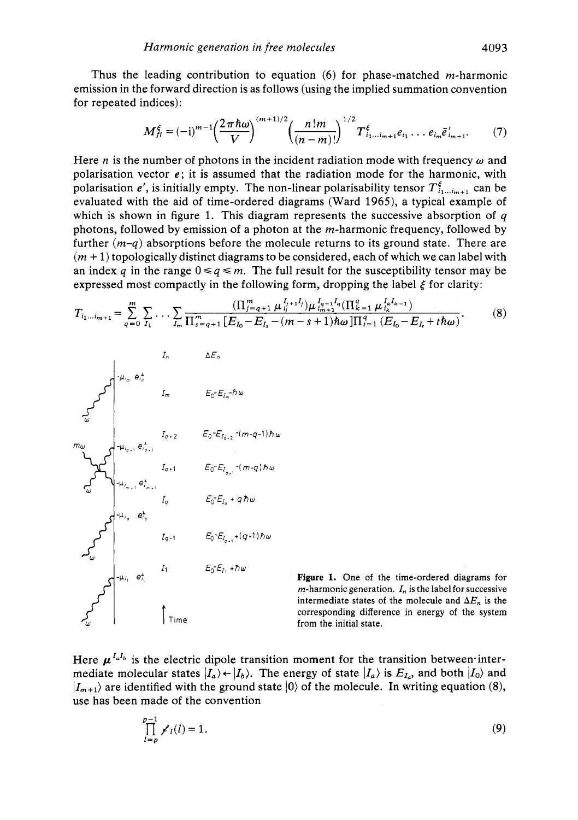Thus the leading contribution to equation *(6)* for phase-matched m-harmonic emission in the forward direction is as follows (using the implied summation convention for repeated indices):

$$
M_{fi}^{\xi} = (-i)^{m-1} \left(\frac{2\pi\hbar\omega}{V}\right)^{(m+1)/2} \left(\frac{n!m}{(n-m)!}\right)^{1/2} T_{i_1...i_{m+1}}^{\xi} e_{i_1} \dots e_{i_m} \tilde{e}_{i_{m+1}}^{\prime}.
$$
 (7)

Here *n* is the number of photons in the incident radiation mode with frequency  $\omega$  and polarisation vector  $e$ ; it is assumed that the radiation mode for the harmonic, with polarisation *e'*, is initially empty. The non-linear polarisability tensor  $T_{i_1,...i_{m+1}}^{\xi}$  can be evaluated with the aid of time-ordered diagrams (Ward 1965), a typical example of which is shown in figure 1. This diagram represents the successive absorption of *q*  photons, followed by emission of a photon at the m-harmonic frequency, followed by further  $(m-a)$  absorptions before the molecule returns to its ground state. There are  $(m + 1)$  topologically distinct diagrams to be considered, each of which we can label with an index *q* in the range  $0 \leq q \leq m$ . The full result for the susceptibility tensor may be expressed most compactly in the following form, dropping the label  $\xi$  for clarity:

$$
T_{i_1\ldots i_{m+1}} = \sum_{q=0}^{m} \sum_{I_1} \ldots \sum_{I_m} \frac{(\prod_{j=q+1}^{m} \mu_{i_j}^{I_{j+1}I_j}) \mu_{i_{m+1}}^{I_{q+1}I_q}(\prod_{k=1}^{q} \mu_{i_k}^{I_kI_{k-1}})}{\prod_{s=q+1}^{m} \left[E_{I_0} - E_{I_s} - (m-s+1)\hbar\omega\right] \prod_{i=1}^{q} \left(E_{I_0} - E_{I_i} + t\hbar\omega\right)}.
$$
(8)



**Figure 1.** One of the time-ordered diagrams for *m*-harmonic generation.  $I_n$  is the label for successive intermediate states of the molecule and  $\Delta E_n$  is the corresponding difference in energy of the system from the initial state.

Here  $\mu^{I_aI_b}$  is the electric dipole transition moment for the transition between-intermediate molecular states  $|I_a\rangle \leftarrow |I_b\rangle$ . The energy of state  $|I_a\rangle$  is  $E_{I_a}$ , and both  $|I_0\rangle$  and  $|I_{m+1}\rangle$  are identified with the ground state  $|0\rangle$  of the molecule. In writing equation (8), use has been made of the convention

$$
\prod_{l=p}^{p-1} \chi_l(l) = 1.
$$
 (9)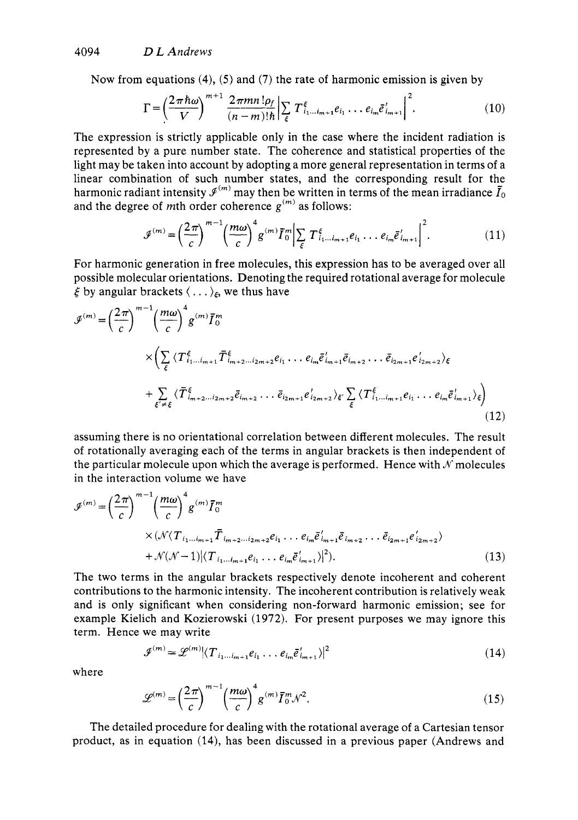Now from equations **(4), (5)** and **(7)** the rate of harmonic emission is given by

$$
\Gamma = \left(\frac{2\pi\hbar\omega}{V}\right)^{m+1} \frac{2\pi mn \, !\rho_f}{(n-m)!\hbar} \bigg| \sum_{\xi} T^{\xi}_{i_1...i_{m+1}} e_{i_1} \dots e_{i_m} \bar{e}'_{i_{m+1}} \bigg|^2. \tag{10}
$$

The expression is strictly applicable only in the case where the incident radiation is represented by a pure number state. The coherence and statistical properties of the light may be taken into account by adopting a more general representation in terms of a linear combination of such number states, and the corresponding result for the harmonic radiant intensity  $\mathcal{I}^{(m)}$  may then be written in terms of the mean irradiance  $\bar{I}_0$ and the degree of mth order coherence  $g^{(m)}$  as follows:

$$
\mathcal{J}^{(m)} = \left(\frac{2\pi}{c}\right)^{m-1} \left(\frac{m\omega}{c}\right)^4 g^{(m)} \bar{I}_0^m \Big| \sum_{\xi} T_{i_1...i_{m+1}}^{\xi} e_{i_1} \dots e_{i_m} \bar{e}_{i_{m+1}}' \Big|^2.
$$
 (11)

For harmonic generation in free molecules, this expression has to be averaged over all possible molecular orientations. Denoting the required rotational average for molecule  $\xi$  by angular brackets  $\langle \ldots \rangle_{\xi}$ , we thus have

$$
\mathcal{J}^{(m)} = \left(\frac{2\pi}{c}\right)^{m-1} \left(\frac{m\omega}{c}\right)^{4} g^{(m)} \overline{I}_{0}^{m}
$$
\n
$$
\times \left(\sum_{\xi} \langle T^{\xi}_{i_{1}...i_{m+1}} \overline{T}^{\xi}_{i_{m+2}...i_{2m+2}} e_{i_{1}} \dots e_{i_{m}} \overline{e}_{i_{m+1}} \overline{e}_{i_{m+2}} \dots \overline{e}_{i_{2m+1}} e_{i_{2m+2}} \rangle_{\xi}
$$
\n
$$
+ \sum_{\xi' \neq \xi} \langle \overline{T}^{\xi}_{i_{m+2}...i_{2m+2}} \overline{e}_{i_{m+2}} \dots \overline{e}_{i_{2m+1}} e_{i_{2m+2}} \rangle_{\xi'} \sum_{\xi} \langle T^{\xi}_{i_{1}...i_{m+1}} e_{i_{1}} \dots e_{i_{m}} \overline{e}_{i_{m+1}} \rangle_{\xi} \right)
$$
\n(12)

assuming there is no orientational correlation between different molecules. The result of rotationally averaging each of the terms in angular brackets is then independent of the particular molecule upon which the average is performed. Hence with  $\mathcal N$  molecules in the interaction volume we have

$$
\mathcal{J}^{(m)} = \left(\frac{2\pi}{c}\right)^{m-1} \left(\frac{m\omega}{c}\right)^{4} g^{(m)} \bar{I}_{0}^{m}
$$
\n
$$
\times (\mathcal{N}(T_{i_1...i_{m+1}} \bar{T}_{i_{m+2}...i_{2m+2}} e_{i_1} \cdots e_{i_m} \bar{e}_{i_{m+1}}' \bar{e}_{i_{m+2}} \cdots \bar{e}_{i_{2m+1}} e_{i_{2m+2}}') + \mathcal{N}(\mathcal{N}-1) |\langle T_{i_1...i_{m+1}} e_{i_1} \cdots e_{i_m} \bar{e}_{i_{m+1}}' \rangle|^2). \tag{13}
$$

The two terms in the angular brackets respectively denote incoherent and coherent contributions to the harmonic intensity. The incoherent contribution is relatively weak and is only significant when considering non-forward harmonic emission; see for example Kielich and Kozierowski **(1972).** For present purposes we may ignore this term. Hence we may write

$$
\mathcal{J}^{(m)} \simeq \mathcal{L}^{(m)} \big| \langle T_{i_1 \dots i_{m+1}} e_{i_1} \dots e_{i_m} \bar{e}'_{i_{m+1}} \rangle \big|^2 \tag{14}
$$

where

$$
\mathcal{L}^{(m)} = \left(\frac{2\pi}{c}\right)^{m-1} \left(\frac{m\omega}{c}\right)^4 g^{(m)} \overline{I}_0^m \mathcal{N}^2. \tag{15}
$$

The detailed procedure for dealing with the rotational average of a Cartesian tensor product, as in equation **(14),** has been discussed in a previous paper (Andrews and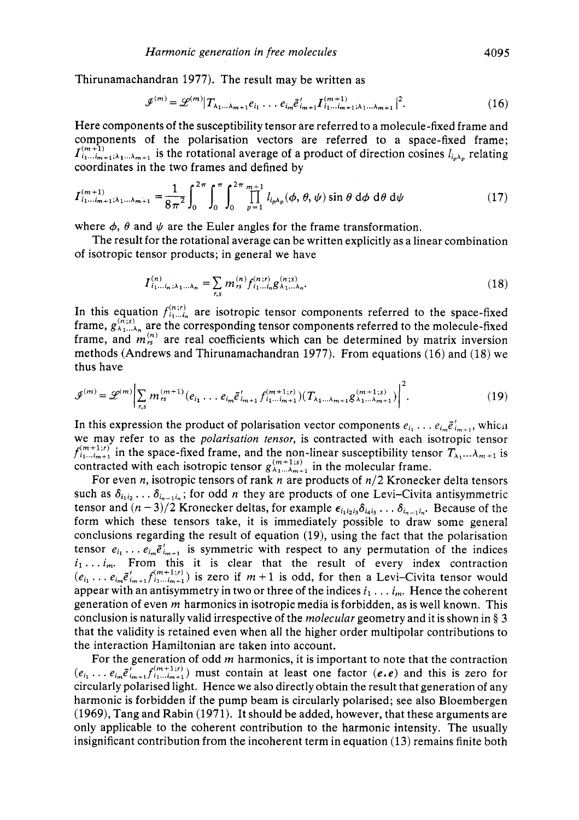Thirunamachandran 1977). The result may be written as

$$
\mathcal{J}^{(m)} = \mathcal{L}^{(m)} | T_{\lambda_1 \dots \lambda_{m+1}} e_{i_1} \dots e_{i_m} \bar{e}_{i_{m+1}}' I^{(m+1)}_{i_1 \dots i_{m+1} \lambda_1 \dots \lambda_{m+1}} |^2.
$$
 (16)

Here components of the susceptibility tensor are referred to a molecule-fixed frame and components of the polarisation vectors are referred to a space-fixed frame;  $\prod_{i=1}^{m+1}$ ,  $\prod_{i=1}^{m+1}$  is the rotational average of a product of direction cosines  $l_{i_{n}}$  relating coordinates in the two frames and defined by

$$
I_{i_1...i_{m+1};\lambda_1... \lambda_{m+1}}^{(m+1)} = \frac{1}{8\pi^2} \int_0^{2\pi} \int_0^{\pi} \int_0^{2\pi} \prod_{p=1}^{m+1} l_{i_p\lambda_p}(\phi,\theta,\psi) \sin\theta \,d\phi \,d\theta \,d\psi
$$
 (17)

where  $\phi$ ,  $\theta$  and  $\psi$  are the Euler angles for the frame transformation.

of isotropic tensor products; in general we have The result for the rotational average can be written explicitly as a linear combination

$$
I_{i_1...i_n;\lambda_1...\lambda_n}^{(n)} = \sum_{r,s} m_{rs}^{(n)} f_{i_1...i_n}^{(n;r)} g_{\lambda_1...\lambda_n}^{(n;s)}.
$$
 (18)

In this equation  $f_{i_1...i_n}^{(n;r)}$  are isotropic tensor components referred to the space-fixed frame,  $g_{\lambda_1...\lambda_n}^{(n;s)}$  are the corresponding tensor components referred to the molecule-fixed frame, and  $m_{\rm rs}^{(n)}$  are real coefficients which can be determined by matrix inversion methods (Andrews and Thirunamachandran 1977). From equations (16) and (18) we thus have

$$
\mathcal{J}^{(m)} = \mathcal{L}^{(m)} \bigg| \sum_{r,s} m_{rs}^{(m+1)} (e_{i_1} \dots e_{i_m} \bar{e}_{i_{m+1}}' f_{i_1 \dots i_{m+1}}^{(m+1;r)}) (T_{\lambda_1 \dots \lambda_{m+1}} g_{\lambda_1 \dots \lambda_{m+1}}^{(m+1;s)}) \bigg|^2.
$$
 (19)

In this expression the product of polarisation vector components  $e_{i_1} \ldots e_{i_m} \tilde{e}_{i_{m+1}}'$ , which we may refer to as the *polarisation tensor,* is contracted with each isotropic tensor  $f_{i_1...i_{m+1}}^{(m+1;r)}$  in the space-fixed frame, and the non-linear susceptibility tensor  $T_{\lambda_1}...\lambda_{m+1}$  is contracted with each isotropic tensor  $g_{\lambda_1...\lambda_{m+1}}^{(m+1)s}$  in the molecular frame.

For even *n,* isotropic tensors of rank *n* are products of *n/2* Kronecker delta tensors such as  $\delta_{i_1i_2} \ldots \delta_{i_{n-1}i_n}$ ; for odd *n* they are products of one Levi-Civita antisymmetric tensor and  $(n-3)/2$  Kronecker deltas, for example  $\epsilon_{i_1i_2i_3}\delta_{i_4i_5}\ldots \delta_{i_{n-1}i_n}$ . Because of the form which these tensors take, it is immediately possible to draw some general conclusions regarding the result of equation (19), using the fact that the polarisation tensor  $e_{i_1} \ldots e_{i_m} \bar{e}_{i_{m+1}}'$  is symmetric with respect to any permutation of the indices  $i_1 \ldots i_m$ . From this it is clear that the result of every index contraction  $(e_{i_1}, \ldots e_{i_m} \bar{e}_{i_{m+1}}' f^{(m+1)r}_{i_1 \ldots i_{m+1}})$  is zero if  $m+1$  is odd, for then a Levi-Civita tensor would appear with an antisymmetry in two or three of the indices  $i_1 \ldots i_m$ . Hence the coherent generation of even *m* harmonics in isotropic media is forbidden, as is well known. This conclusion is naturally valid irrespective of the *molecular* geometry and it is shown in § **3**  that the validity is retained even when all the higher order multipolar contributions to the interaction Hamiltonian are taken into account.

For the generation of odd *m* harmonics, it is important to note that the contraction  $(e_{i_1} \ldots e_{i_m} \bar{e}_{i_{m+1}}' f_{i_1 \ldots i_{m+1}}^{(m+1;r)})$  must contain at least one factor  $(e,e)$  and this is zero for circularly polarised light. Hence we also directly obtain the result that generation of any harmonic is forbidden if the pump beam is circularly polarised; see also Bloembergen (1969), Tang and Rabin (1971). It should be added, however, that these arguments are only applicable to the coherent contribution to the harmonic intensity. The usually insignificant contribution from the incoherent term in equation (13) remains finite both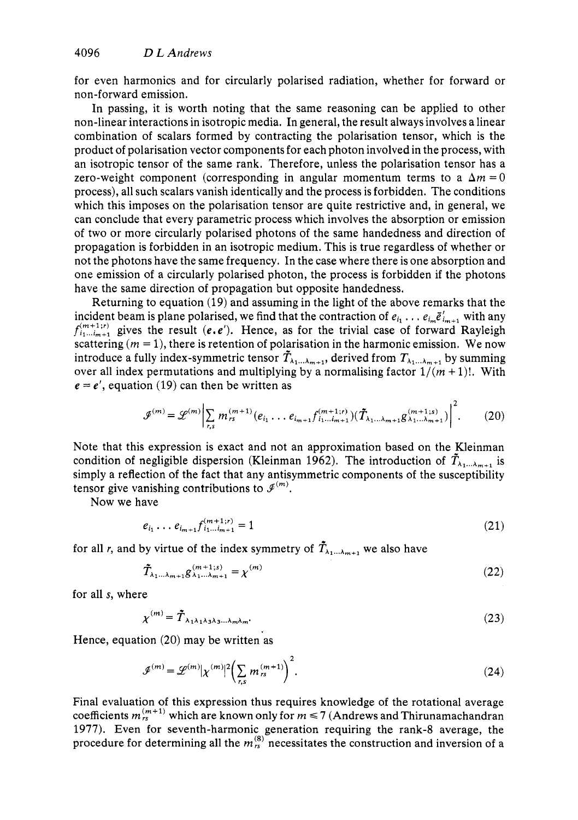for even harmonics and for circularly polarised radiation, whether for forward or non-forward emission.

In passing, it is worth noting that the same reasoning can be applied to other non-linear interactions in isotropic media. In general, the result always involves a linear combination of scalars formed by contracting the polarisation tensor, which is the product of polarisation vector components for each photon involved in the process, with an isotropic tensor of the same rank. Therefore, unless the polarisation tensor has a zero-weight component (corresponding in angular momentum terms to a  $\Delta m = 0$ process), all such scalars vanish identically and the process is forbidden. The conditions which this imposes on the polarisation tensor are quite restrictive and, in general, we can conclude that every parametric process which involves the absorption or emission of two or more circularly polarised photons of the same handedness and direction of propagation is forbidden in an isotropic medium. This is true regardless of whether or not the photons have the same frequency. In the case where there is one absorption and one emission of a circularly polarised photon, the process is forbidden if the photons have the same direction of propagation but opposite handedness.

Returning to equation **(19)** and assuming in the light of the above remarks that the incident beam is plane polarised, we find that the contraction of  $e_{i_1} \ldots e_{i_m} \bar{e}_{i_{m+1}}'$  with any  $f^{(m+1;r)}_{i_1...i_{m+1}}$  gives the result  $(e,e')$ . Hence, as for the trivial case of forward Rayleigh scattering  $(m = 1)$ , there is retention of polarisation in the harmonic emission. We now introduce a fully index-symmetric tensor  $\tilde{T}_{\lambda_1...\lambda_{m+1}}$ , derived from  $T_{\lambda_1...\lambda_{m+1}}$  by summing over all index permutations and multiplying by a normalising factor  $1/(m + 1)!$ . With  $e = e'$ , equation (19) can then be written as

$$
\mathcal{J}^{(m)} = \mathcal{L}^{(m)} \bigg| \sum_{r,s} m_{rs}^{(m+1)}(e_{i_1} \dots e_{i_{m+1}} f_{i_1 \dots i_{m+1}}^{(m+1;r)}) (\tilde{T}_{\lambda_1 \dots \lambda_{m+1}} g_{\lambda_1 \dots \lambda_{m+1}}^{(m+1;s)}) \bigg|^2. \tag{20}
$$

Note that this expression is exact and not an approximation based on the Kleinman condition of negligible dispersion (Kleinman 1962). The introduction of  $\tilde{T}_{\lambda_1...\lambda_{m+1}}$  is simply a reflection of the fact that any antisymmetric components of the susceptibility tensor give vanishing contributions to  $\mathcal{I}^{(m)}$ .

Now we have

$$
e_{i_1} \dots e_{i_{m+1}} f_{i_1 \dots i_{m+1}}^{(m+1; r)} = 1 \tag{21}
$$

for all *r*, and by virtue of the index symmetry of  $\tilde{T}_{\lambda_1...\lambda_{m+1}}$  we also have

$$
\tilde{T}_{\lambda_1...\lambda_{m+1}} g^{(m+1;s)}_{\lambda_1...\lambda_{m+1}} = \chi^{(m)} \tag{22}
$$

for all s, where

$$
\chi^{(m)} = \tilde{\boldsymbol{T}}_{\lambda_1 \lambda_1 \lambda_3 \lambda_3 \ldots \lambda_m \lambda_m}.
$$
\n(23)

Hence, equation **(20)** may be written as

$$
\mathcal{J}^{(m)} = \mathcal{L}^{(m)} |\chi^{(m)}|^2 \bigg( \sum_{r,s} m_{rs}^{(m+1)} \bigg)^2.
$$
 (24)

Final evaluation of this expression thus requires knowledge of the rotational average coefficients  $m_{rs}^{(m+1)}$  which are known only for  $m \le 7$  (Andrews and Thirunamachandran **1977).** Even for seventh-harmonic generation requiring the rank-8 average, the procedure for determining all the  $m_{1s}^{(8)}$  necessitates the construction and inversion of a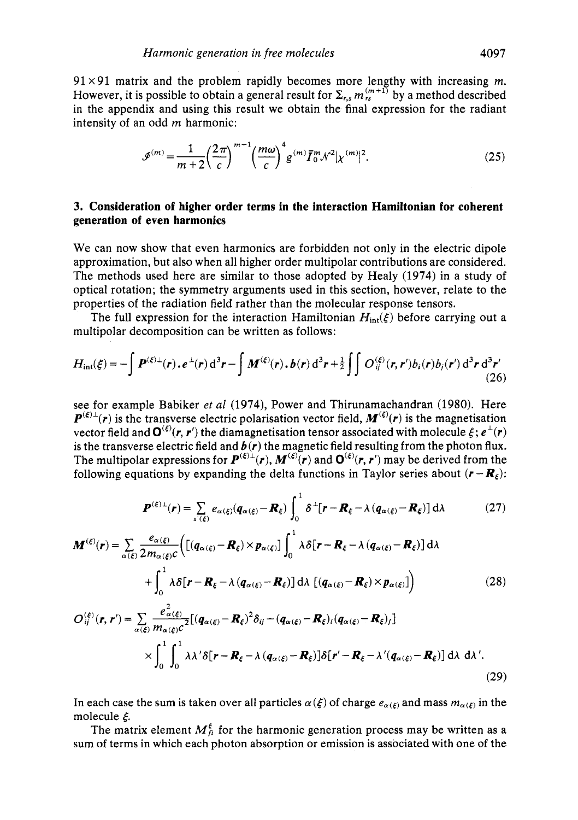$91 \times 91$  matrix and the problem rapidly becomes more lengthy with increasing *m*. However, it is possible to obtain a general result for  $\Sigma_{rs} m_{rs}^{(m+1)}$  by a method described in the appendix and using this result we obtain the final expression for the radiant intensity of an odd *m* harmonic:

$$
\mathcal{J}^{(m)} = \frac{1}{m+2} \left(\frac{2\pi}{c}\right)^{m-1} \left(\frac{m\omega}{c}\right)^4 g^{(m)} \bar{I}_0^m \mathcal{N}^2 |\chi^{(m)}|^2. \tag{25}
$$

## **3. Consideration of higher order terms in the interaction Hamiltonian for coherent generation of even harmonics**

We can now show that even harmonics are forbidden not only in the electric dipole approximation, but also when all higher order multipolar contributions are considered. The methods used here are similar to those adopted by Healy (1974) in a study of optical rotation; the symmetry arguments used in this section, however, relate to the properties of the radiation field rather than the molecular response tensors.

The full expression for the interaction Hamiltonian  $H_{int}(\xi)$  before carrying out a multipolar decomposition can be written as follows:

$$
H_{\rm int}(\xi) = -\int \boldsymbol{P}^{(\xi)\perp}(\boldsymbol{r}) \cdot \boldsymbol{e}^{\perp}(\boldsymbol{r}) d^3 \boldsymbol{r} - \int \boldsymbol{M}^{(\xi)}(\boldsymbol{r}) \cdot \boldsymbol{b}(\boldsymbol{r}) d^3 \boldsymbol{r} + \frac{1}{2} \int \int O_{ij}^{(\xi)}(\boldsymbol{r}, \boldsymbol{r}') b_i(\boldsymbol{r}) b_j(\boldsymbol{r}') d^3 \boldsymbol{r} d^3 \boldsymbol{r}' \tag{26}
$$

see for example Babiker *et a1* (1974), Power and Thirunamachandran (1980). Here  $P^{(\xi)}(r)$  is the transverse electric polarisation vector field,  $M^{(\xi)}(r)$  is the magnetisation vector field and  $\mathbf{O}^{(\xi)}(r, r')$  the diamagnetisation tensor associated with molecule  $\xi$ ;  $e^{\perp}(r)$ is the transverse electric field and  $\mathbf{b}(\mathbf{r})$  the magnetic field resulting from the photon flux. The multipolar expressions for  $P^{(\xi)}(r)$ ,  $M^{(\xi)}(r)$  and  $Q^{(\xi)}(r, r')$  may be derived from the following equations by expanding the delta functions in Taylor series about  $(r - R_k)$ :

$$
\boldsymbol{P}^{(\xi)\perp}(\boldsymbol{r}) = \sum_{\mathbf{x} \in \mathcal{E}} e_{\alpha(\xi)} (\boldsymbol{q}_{\alpha(\xi)} - \boldsymbol{R}_{\xi}) \int_0^1 \delta^{\perp} [\boldsymbol{r} - \boldsymbol{R}_{\xi} - \lambda (\boldsymbol{q}_{\alpha(\xi)} - \boldsymbol{R}_{\xi})] d\lambda \tag{27}
$$

$$
\boldsymbol{M}^{(\xi)}(\boldsymbol{r}) = \sum_{\alpha(\xi)} \frac{e_{\alpha(\xi)}}{2m_{\alpha(\xi)}c} \Big( \big[ (q_{\alpha(\xi)} - \boldsymbol{R}_{\xi}) \times p_{\alpha(\xi)} \big] \int_0^1 \lambda \delta [\boldsymbol{r} - \boldsymbol{R}_{\xi} - \lambda (q_{\alpha(\xi)} - \boldsymbol{R}_{\xi})] d\lambda + \int_0^1 \lambda \delta [\boldsymbol{r} - \boldsymbol{R}_{\xi} - \lambda (q_{\alpha(\xi)} - \boldsymbol{R}_{\xi})] d\lambda \big[ (q_{\alpha(\xi)} - \boldsymbol{R}_{\xi}) \times p_{\alpha(\xi)} \big] \Big)
$$
(28)

$$
O_{ij}^{(\xi)}(\mathbf{r},\mathbf{r}') = \sum_{\alpha(\xi)} \frac{e_{\alpha(\xi)}^2}{m_{\alpha(\xi)}c^2} [(q_{\alpha(\xi)} - \mathbf{R}_{\xi})^2 \delta_{ij} - (q_{\alpha(\xi)} - \mathbf{R}_{\xi})_i (q_{\alpha(\xi)} - \mathbf{R}_{\xi})_j]
$$
  
 
$$
\times \int_0^1 \int_0^1 \lambda \lambda' \delta[\mathbf{r} - \mathbf{R}_{\xi} - \lambda (q_{\alpha(\xi)} - \mathbf{R}_{\xi})] \delta[\mathbf{r}' - \mathbf{R}_{\xi} - \lambda' (q_{\alpha(\xi)} - \mathbf{R}_{\xi})] d\lambda d\lambda'.
$$
 (29)

In each case the sum is taken over all particles  $\alpha(\xi)$  of charge  $e_{\alpha(\xi)}$  and mass  $m_{\alpha(\xi)}$  in the molecule *8.* 

The matrix element  $M_{fi}^{\xi}$  for the harmonic generation process may be written as a sum of terms in which each photon absorption or emission is associated with one of the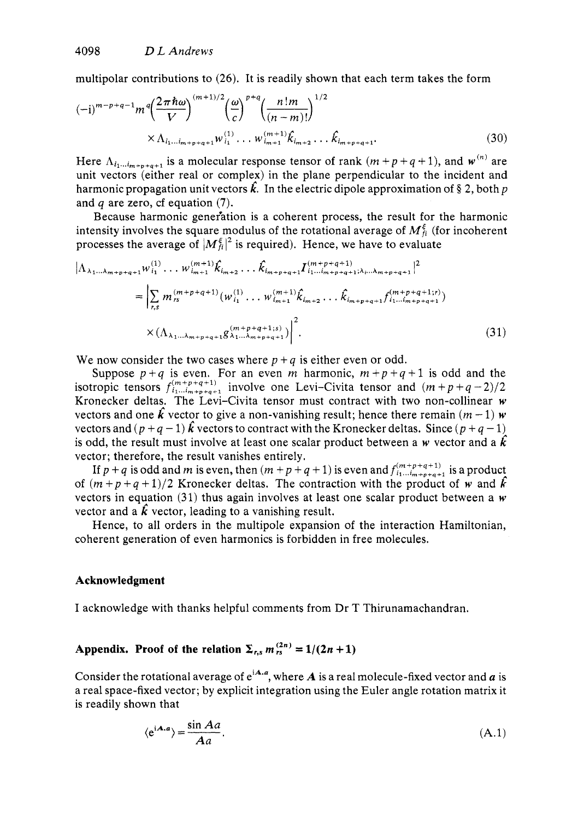multipolar contributions to *(26).* It is readily shown that each term takes the form

$$
(-i)^{m-p+q-1} m^{q} \left(\frac{2\pi\hbar\omega}{V}\right)^{(m+1)/2} \left(\frac{\omega}{c}\right)^{p+q} \left(\frac{n!m}{(n-m)!}\right)^{1/2} \times \Lambda_{i_1\ldots i_{m+p+q+1}} w_{i_1}^{(1)} \ldots w_{i_{m+1}}^{(m+1)} \hat{k}_{i_{m+2}} \ldots \hat{k}_{i_{m+p+q+1}}.
$$
\n(30)

Here  $\Lambda_{i_1 \ldots i_{m+n+q+1}}$  is a molecular response tensor of rank  $(m + p + q + 1)$ , and  $w^{(n)}$  are unit vectors (either real or complex) in the plane perpendicular to the incident and harmonic propagation unit vectors  $\hat{k}$ . In the electric dipole approximation of § 2, both *p* and *q* are zero, cf equation **(7).** 

Because harmonic genefation is a coherent process, the result for the harmonic intensity involves the square modulus of the rotational average of  $M_{\rm fi}^{\xi}$  (for incoherent processes the average of  $|M_h^{\xi}|^2$  is required). Hence, we have to evaluate

$$
|\Lambda_{\lambda_{1}...\lambda_{m+p+q+1}}w_{i_{1}}^{(1)}\cdots w_{i_{m+1}}^{(m+1)}\hat{k}_{i_{m+2}}\cdots \hat{k}_{i_{m+p+q+1}}I_{i_{1}...\dot{i_{m+p+q+1}}^{(m+p+q+1)}\lambda_{i}...\lambda_{m+p+q+1}}|^{2}
$$
\n
$$
= \left| \sum_{r,s} m_{rs}^{(m+p+q+1)}(w_{i_{1}}^{(1)}\cdots w_{i_{m+1}}^{(m+1)}\hat{k}_{i_{m+2}}\cdots \hat{k}_{i_{m+p+q+1}}f_{i_{1}...\dot{i_{m+p+q+1}}^{(m+p+q+1)r})}\right|^{2}.
$$
\n
$$
\times (\Lambda_{\lambda_{1}...\lambda_{m+p+q+1}}g_{\lambda_{1}...\lambda_{m+p+q+1}}^{(m+p+q+1;s)})\right|^{2}.
$$
\n(31)

We now consider the two cases where  $p + q$  is either even or odd.

Suppose  $p + q$  is even. For an even *m* harmonic,  $m + p + q + 1$  is odd and the isotropic tensors  $f^{(m+p+q+1)}_{i_1...i_{m+p+q+1}}$  involve one Levi-Civita tensor and  $(m+p+q-2)/2$ Kronecker deltas. The Levi-Civita tensor must contract with two non-collinear *w*  vectors and one  $\hat{k}$  vector to give a non-vanishing result; hence there remain  $(m - 1)$  *w* vectors and  $(p+q-1)$   $\hat{k}$  vectors to contract with the Kronecker deltas. Since  $(p+q-1)$ is odd, the result must involve at least one scalar product between a *w* vector and a  $\hat{k}$ vector; therefore, the result vanishes entirely.

If  $p + q$  is odd and *m* is even, then  $(m + p + q + 1)$  is even and  $f_{i_1...i_{m+p+q+1}}^{(m+p+q+1)}$  is a product of  $(m+p+q+1)/2$  Kronecker deltas. The contraction with the product of *w* and  $\hat{k}$ vectors in equation (31) thus again involves at least one scalar product between a *w*  vector and a  $\hat{k}$  vector, leading to a vanishing result.

Hence, to all orders in the multipole expansion of the interaction Hamiltonian, coherent generation of even harmonics is forbidden in free molecules.

#### **Acknowledgment**

I acknowledge with thanks helpful comments from Dr T Thirunamachandran.

# **Appendix.** Proof of the relation  $\Sigma_{rs} m_{rs}^{(2n)} = 1/(2n + 1)$

Consider the rotational average of  $e^{iA}$ , where  $A$  is a real molecule-fixed vector and  $a$  is a real space-fixed vector; by explicit integration using the Euler angle rotation matrix it is readily shown that roof of the relation  $\Sigma_{r,s}$ <br>
otational average of e<sup>iA</sup><br>
xed vector; by explicit is<br>
xn that<br>  $\langle e^{iA,a} \rangle = \frac{\sin Aa}{Aa}$ .

$$
\langle e^{iA,a} \rangle = \frac{\sin Aa}{Aa}.\tag{A.1}
$$